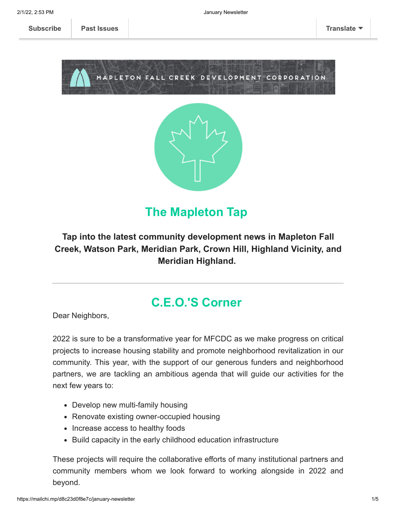**[Subscribe](http://eepurl.com/dg7ppH) [Past Issues](https://us11.campaign-archive.com/home/?u=123f43371c390f9c1cb62ce5d&id=e6d7791531) [Translate](javascript:;)**





# **The Mapleton Tap**

#### **Tap into the latest community development news in Mapleton Fall Creek, Watson Park, Meridian Park, Crown Hill, Highland Vicinity, and Meridian Highland.**

## **C.E.O.'S Corner**

Dear Neighbors,

2022 is sure to be a transformative year for MFCDC as we make progress on critical projects to increase housing stability and promote neighborhood revitalization in our community. This year, with the support of our generous funders and neighborhood partners, we are tackling an ambitious agenda that will guide our activities for the next few years to:

- Develop new multi-family housing
- Renovate existing owner-occupied housing
- Increase access to healthy foods
- Build capacity in the early childhood education infrastructure

These projects will require the collaborative efforts of many institutional partners and community members whom we look forward to working alongside in 2022 and beyond.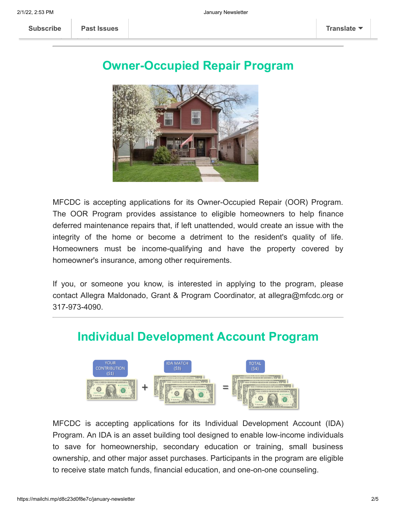### **Owner-Occupied Repair Program**



MFCDC is accepting applications for its Owner-Occupied Repair (OOR) Program. The OOR Program provides assistance to eligible homeowners to help finance deferred maintenance repairs that, if left unattended, would create an issue with the integrity of the home or become a detriment to the resident's quality of life. Homeowners must be income-qualifying and have the property covered by homeowner's insurance, among other requirements.

If you, or someone you know, is interested in applying to the program, please contact Allegra Maldonado, Grant & Program Coordinator, at allegra@mfcdc.org or 317-973-4090.

### **Individual Development Account Program**



MFCDC is accepting applications for its Individual Development Account (IDA) Program. An IDA is an asset building tool designed to enable low-income individuals to save for homeownership, secondary education or training, small business ownership, and other major asset purchases. Participants in the program are eligible to receive state match funds, financial education, and one-on-one counseling.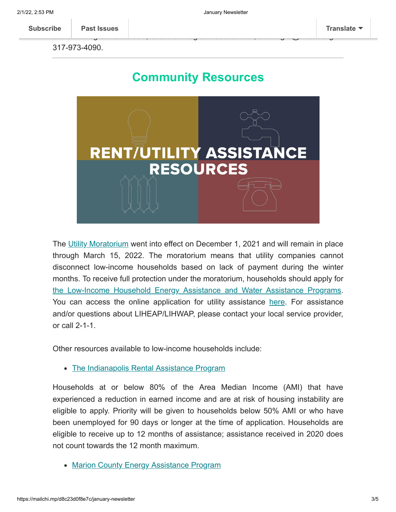317-973-4090.

## **Community Resources**



The [Utility Moratorium](https://www.in.gov/oucc/about-your-rates/winter-disconnection-moratorium-frequently-asked-questions/) went into effect on December 1, 2021 and will remain in place through March 15, 2022. The moratorium means that utility companies cannot disconnect low-income households based on lack of payment during the winter months. To receive full protection under the moratorium, households should apply for [the Low-Income Household Energy Assistance and Water Assistance Programs.](https://www.in.gov/ihcda/homeowners-and-renters/low-income-home-energy-assistance-program-liheap/) You can access the online application for utility assistance [here.](https://ihcda.rhsconnect.com/portal/) For assistance and/or questions about LIHEAP/LIHWAP, please contact your local service provider, or call 2-1-1.

Other resources available to low-income households include:

• [The Indianapolis Rental Assistance Program](http://indyrent.org%20/)

Households at or below 80% of the Area Median Income (AMI) that have experienced a reduction in earned income and are at risk of housing instability are eligible to apply. Priority will be given to households below 50% AMI or who have been unemployed for 90 days or longer at the time of application. Households are eligible to receive up to 12 months of assistance; assistance received in 2020 does not count towards the 12 month maximum.

• [Marion County Energy Assistance Program](http://indyeap.org/)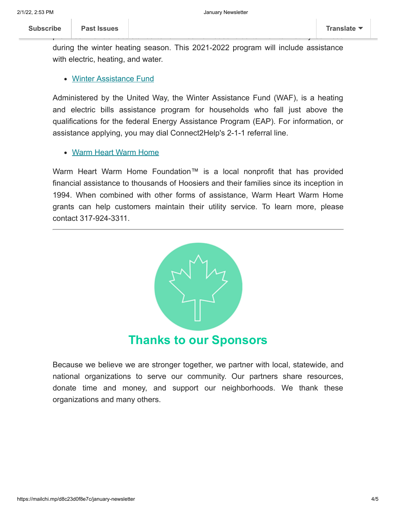**[Subscribe](http://eepurl.com/dg7ppH) Past Issues Translate**

during the winter heating season. This 2021-2022 program will include assistance with electric, heating, and water.

#### [Winter Assistance Fund](https://uwci.givecorps.com/projects/2628-income-winter-assistance-fund%C2%A0)

Administered by the United Way, the Winter Assistance Fund (WAF), is a heating and electric bills assistance program for households who fall just above the qualifications for the federal Energy Assistance Program (EAP). For information, or assistance applying, you may dial Connect2Help's 2-1-1 referral line.

#### Warm Heart [Warm Home](https://www.citizensenergygroup.com/My-Home/Utility-Services/Warm-Heart-Warm-Home)

Warm Heart Warm Home Foundation™ is a local nonprofit that has provided financial assistance to thousands of Hoosiers and their families since its inception in 1994. When combined with other forms of assistance, Warm Heart Warm Home grants can help customers maintain their utility service. To learn more, please contact 317-924-3311.



Because we believe we are stronger together, we partner with local, statewide, and national organizations to serve our community. Our partners share resources, donate time and money, and support our neighborhoods. We thank these organizations and many others.